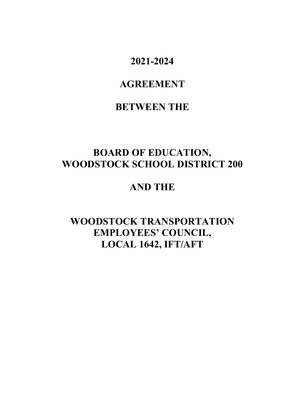# **2021-2024**

# **AGREEMENT**

# **BETWEEN THE**

# **BOARD OF EDUCATION, WOODSTOCK SCHOOL DISTRICT 200**

# **AND THE**

# **WOODSTOCK TRANSPORTATION EMPLOYEES' COUNCIL, LOCAL 1642, IFT/AFT**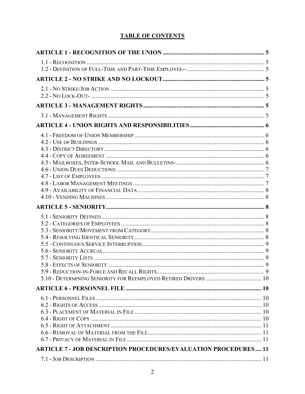# **TABLE OF CONTENTS**

| <b>ARTICLE 7 - JOB DESCRIPTION PROCEDURES/EVALUATION PROCEDURES 11</b> |  |
|------------------------------------------------------------------------|--|
|                                                                        |  |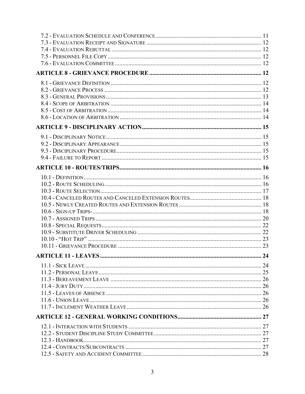| 24 |
|----|
|    |
|    |
|    |
|    |
|    |
|    |
|    |
|    |
|    |
|    |
|    |
|    |
|    |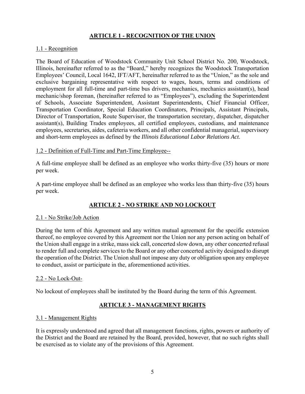## **ARTICLE 1 - RECOGNITION OF THE UNION**

#### 1.1 - Recognition

The Board of Education of Woodstock Community Unit School District No. 200, Woodstock, Illinois, hereinafter referred to as the "Board," hereby recognizes the Woodstock Transportation Employees' Council, Local 1642, IFT/AFT, hereinafter referred to as the "Union," as the sole and exclusive bargaining representative with respect to wages, hours, terms and conditions of employment for all full-time and part-time bus drivers, mechanics, mechanics assistant(s), head mechanic/shop foreman, (hereinafter referred to as "Employees"), excluding the Superintendent of Schools, Associate Superintendent, Assistant Superintendents, Chief Financial Officer, Transportation Coordinator, Special Education Coordinators, Principals, Assistant Principals, Director of Transportation, Route Supervisor, the transportation secretary, dispatcher, dispatcher assistant(s), Building Trades employees, all certified employees, custodians, and maintenance employees, secretaries, aides, cafeteria workers, and all other confidential managerial, supervisory and short-term employees as defined by the *Illinois Educational Labor Relations Act*.

#### 1.2 - Definition of Full-Time and Part-Time Employee--

A full-time employee shall be defined as an employee who works thirty-five (35) hours or more per week.

A part-time employee shall be defined as an employee who works less than thirty-five (35) hours per week.

## **ARTICLE 2 - NO STRIKE AND NO LOCKOUT**

#### 2.1 - No Strike/Job Action

During the term of this Agreement and any written mutual agreement for the specific extension thereof, no employee covered by this Agreement nor the Union nor any person acting on behalf of the Union shall engage in a strike, mass sick call, concerted slow down, any other concerted refusal to render full and complete services to the Board or any other concerted activity designed to disrupt the operation of the District. The Union shall not impose any duty or obligation upon any employee to conduct, assist or participate in the, aforementioned activities.

#### 2.2 - No Lock-Out-

No lockout of employees shall be instituted by the Board during the term of this Agreement.

## **ARTICLE 3 - MANAGEMENT RIGHTS**

#### 3.1 - Management Rights

It is expressly understood and agreed that all management functions, rights, powers or authority of the District and the Board are retained by the Board, provided, however, that no such rights shall be exercised as to violate any of the provisions of this Agreement.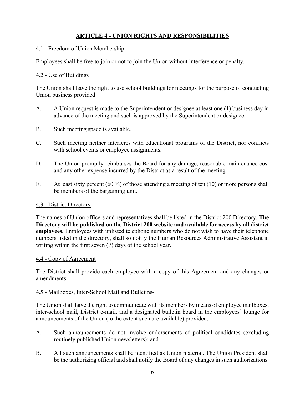# **ARTICLE 4 - UNION RIGHTS AND RESPONSIBILITIES**

#### 4.1 - Freedom of Union Membership

Employees shall be free to join or not to join the Union without interference or penalty.

## 4.2 - Use of Buildings

The Union shall have the right to use school buildings for meetings for the purpose of conducting Union business provided:

- A. A Union request is made to the Superintendent or designee at least one (1) business day in advance of the meeting and such is approved by the Superintendent or designee.
- B. Such meeting space is available.
- C. Such meeting neither interferes with educational programs of the District, nor conflicts with school events or employee assignments.
- D. The Union promptly reimburses the Board for any damage, reasonable maintenance cost and any other expense incurred by the District as a result of the meeting.
- E. At least sixty percent  $(60\%)$  of those attending a meeting of ten  $(10)$  or more persons shall be members of the bargaining unit.

## 4.3 - District Directory

The names of Union officers and representatives shall be listed in the District 200 Directory. **The Directory will be published on the District 200 website and available for access by all district employees.** Employees with unlisted telephone numbers who do not wish to have their telephone numbers listed in the directory, shall so notify the Human Resources Administrative Assistant in writing within the first seven (7) days of the school year.

## 4.4 - Copy of Agreement

The District shall provide each employee with a copy of this Agreement and any changes or amendments.

## 4.5 - Mailboxes, Inter-School Mail and Bulletins-

The Union shall have the right to communicate with its members by means of employee mailboxes, inter-school mail, District e-mail, and a designated bulletin board in the employees' lounge for announcements of the Union (to the extent such are available) provided:

- A. Such announcements do not involve endorsements of political candidates (excluding routinely published Union newsletters); and
- B. All such announcements shall be identified as Union material. The Union President shall be the authorizing official and shall notify the Board of any changes in such authorizations.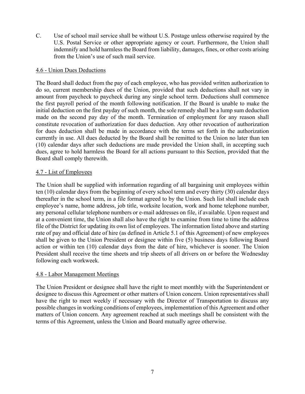C. Use of school mail service shall be without U.S. Postage unless otherwise required by the U.S. Postal Service or other appropriate agency or court. Furthermore, the Union shall indemnify and hold harmless the Board from liability, damages, fines, or other costs arising from the Union's use of such mail service.

### 4.6 - Union Dues Deductions

The Board shall deduct from the pay of each employee, who has provided written authorization to do so, current membership dues of the Union, provided that such deductions shall not vary in amount from paycheck to paycheck during any single school term. Deductions shall commence the first payroll period of the month following notification. If the Board is unable to make the initial deduction on the first payday of such month, the sole remedy shall be a lump sum deduction made on the second pay day of the month. Termination of employment for any reason shall constitute revocation of authorization for dues deduction. Any other revocation of authorization for dues deduction shall be made in accordance with the terms set forth in the authorization currently in use. All dues deducted by the Board shall be remitted to the Union no later than ten (10) calendar days after such deductions are made provided the Union shall, in accepting such dues, agree to hold harmless the Board for all actions pursuant to this Section, provided that the Board shall comply therewith.

#### 4.7 - List of Employees

The Union shall be supplied with information regarding of all bargaining unit employees within ten (10) calendar days from the beginning of every school term and every thirty (30) calendar days thereafter in the school term, in a file format agreed to by the Union. Such list shall include each employee's name, home address, job title, worksite location, work and home telephone number, any personal cellular telephone numbers or e-mail addresses on file, if available. Upon request and at a convenient time, the Union shall also have the right to examine from time to time the address file of the District for updating its own list of employees. The information listed above and starting rate of pay and official date of hire (as defined in Article 5.1 of this Agreement) of new employees shall be given to the Union President or designee within five (5) business days following Board action or within ten (10) calendar days from the date of hire, whichever is sooner. The Union President shall receive the time sheets and trip sheets of all drivers on or before the Wednesday following each workweek.

#### 4.8 - Labor Management Meetings

The Union President or designee shall have the right to meet monthly with the Superintendent or designee to discuss this Agreement or other matters of Union concern. Union representatives shall have the right to meet weekly if necessary with the Director of Transportation to discuss any possible changes in working conditions of employees, implementation of this Agreement and other matters of Union concern. Any agreement reached at such meetings shall be consistent with the terms of this Agreement, unless the Union and Board mutually agree otherwise.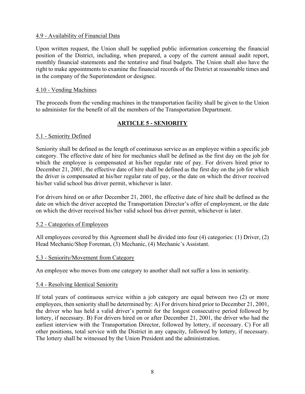#### 4.9 - Availability of Financial Data

Upon written request, the Union shall be supplied public information concerning the financial position of the District, including, when prepared, a copy of the current annual audit report, monthly financial statements and the tentative and final budgets. The Union shall also have the right to make appointments to examine the financial records of the District at reasonable times and in the company of the Superintendent or designee.

#### 4.10 - Vending Machines

The proceeds from the vending machines in the transportation facility shall be given to the Union to administer for the benefit of all the members of the Transportation Department.

## **ARTICLE 5 - SENIORITY**

#### 5.1 - Seniority Defined

Seniority shall be defined as the length of continuous service as an employee within a specific job category. The effective date of hire for mechanics shall be defined as the first day on the job for which the employee is compensated at his/her regular rate of pay. For drivers hired prior to December 21, 2001, the effective date of hire shall be defined as the first day on the job for which the driver is compensated at his/her regular rate of pay, or the date on which the driver received his/her valid school bus driver permit, whichever is later.

For drivers hired on or after December 21, 2001, the effective date of hire shall be defined as the date on which the driver accepted the Transportation Director's offer of employment, or the date on which the driver received his/her valid school bus driver permit, whichever is later.

#### 5.2 - Categories of Employees

All employees covered by this Agreement shall be divided into four (4) categories: (1) Driver, (2) Head Mechanic/Shop Foreman, (3) Mechanic, (4) Mechanic's Assistant.

#### 5.3 - Seniority/Movement from Category

An employee who moves from one category to another shall not suffer a loss in seniority.

#### 5.4 - Resolving Identical Seniority

If total years of continuous service within a job category are equal between two (2) or more employees, then seniority shall be determined by: A) For drivers hired prior to December 21, 2001, the driver who has held a valid driver's permit for the longest consecutive period followed by lottery, if necessary. B) For drivers hired on or after December 21, 2001, the driver who had the earliest interview with the Transportation Director, followed by lottery, if necessary. C) For all other positions, total service with the District in any capacity, followed by lottery, if necessary. The lottery shall be witnessed by the Union President and the administration.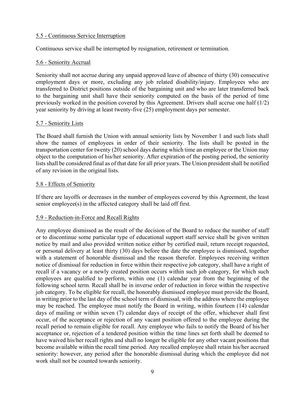### 5.5 - Continuous Service Interruption

Continuous service shall be interrupted by resignation, retirement or termination.

#### 5.6 - Seniority Accrual

Seniority shall not accrue during any unpaid approved leave of absence of thirty (30) consecutive employment days or more, excluding any job related disability/injury. Employees who are transferred to District positions outside of the bargaining unit and who are later transferred back to the bargaining unit shall have their seniority computed on the basis of the period of time previously worked in the position covered by this Agreement. Drivers shall accrue one half (1/2) year seniority by driving at least twenty-five (25) employment days per semester.

#### 5.7 - Seniority Lists

The Board shall furnish the Union with annual seniority lists by November 1 and such lists shall show the names of employees in order of their seniority. The lists shall be posted in the transportation center for twenty (20) school days during which time an employee or the Union may object to the computation of his/her seniority. After expiration of the posting period, the seniority lists shall be considered final as of that date for all prior years. The Union president shall be notified of any revision in the original lists.

#### 5.8 - Effects of Seniority

If there are layoffs or decreases in the number of employees covered by this Agreement, the least senior employee(s) in the affected category shall be laid off first.

#### 5.9 - Reduction-in-Force and Recall Rights

Any employee dismissed as the result of the decision of the Board to reduce the number of staff or to discontinue some particular type of educational support staff service shall be given written notice by mail and also provided written notice either by certified mail, return receipt requested, or personal delivery at least thirty (30) days before the date the employee is dismissed, together with a statement of honorable dismissal and the reason therefor. Employees receiving written notice of dismissal for reduction in force within their respective job category, shall have a right of recall if a vacancy or a newly created position occurs within such job category, for which such employees are qualified to perform, within one (1) calendar year from the beginning of the following school term. Recall shall be in inverse order of reduction in force within the respective job category. To be eligible for recall, the honorably dismissed employee must provide the Board, in writing prior to the last day of the school term of dismissal, with the address where the employee may be reached. The employee must notify the Board in writing, within fourteen (14) calendar days of mailing or within seven (7) calendar days of receipt of the offer, whichever shall first occur, of the acceptance or rejection of any vacant position offered to the employee during the recall period to remain eligible for recall. Any employee who fails to notify the Board of his/her acceptance or, rejection of a tendered position within the time lines set forth shall be deemed to have waived his/her recall rights and shall no longer be eligible for any other vacant positions that become available within the recall time period. Any recalled employee shall retain his/her accrued seniority: however, any period after the honorable dismissal during which the employee did not work shall not be counted towards seniority.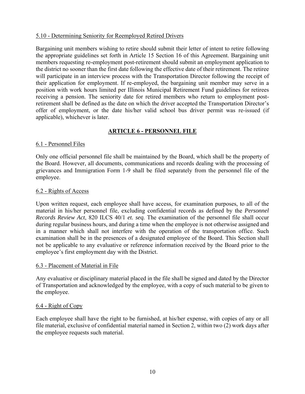## 5.10 - Determining Seniority for Reemployed Retired Drivers

Bargaining unit members wishing to retire should submit their letter of intent to retire following the appropriate guidelines set forth in Article 15 Section 16 of this Agreement. Bargaining unit members requesting re-employment post-retirement should submit an employment application to the district no sooner than the first date following the effective date of their retirement. The retiree will participate in an interview process with the Transportation Director following the receipt of their application for employment. If re-employed, the bargaining unit member may serve in a position with work hours limited per Illinois Municipal Retirement Fund guidelines for retirees receiving a pension. The seniority date for retired members who return to employment postretirement shall be defined as the date on which the driver accepted the Transportation Director's offer of employment, or the date his/her valid school bus driver permit was re-issued (if applicable), whichever is later.

## **ARTICLE 6 - PERSONNEL FILE**

#### 6.1 - Personnel Files

Only one official personnel file shall be maintained by the Board, which shall be the property of the Board. However, all documents, communications and records dealing with the processing of grievances and Immigration Form 1-9 shall be filed separately from the personnel file of the employee.

#### 6.2 - Rights of Access

Upon written request, each employee shall have access, for examination purposes, to all of the material in his/her personnel file, excluding confidential records as defined by the *Personnel Records Review Act*, 820 ILCS 40/1 *et. seq.* The examination of the personnel file shall occur during regular business hours, and during a time when the employee is not otherwise assigned and in a manner which shall not interfere with the operation of the transportation office. Such examination shall be in the presences of a designated employee of the Board. This Section shall not be applicable to any evaluative or reference information received by the Board prior to the employee's first employment day with the District.

#### 6.3 - Placement of Material in File

Any evaluative or disciplinary material placed in the file shall be signed and dated by the Director of Transportation and acknowledged by the employee, with a copy of such material to be given to the employee.

#### 6.4 - Right of Copy

Each employee shall have the right to be furnished, at his/her expense, with copies of any or all file material, exclusive of confidential material named in Section 2, within two (2) work days after the employee requests such material.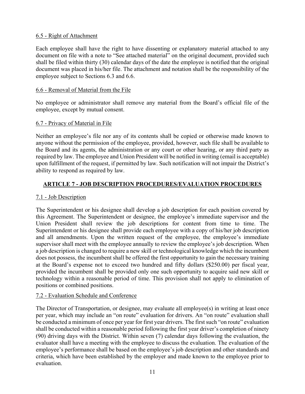## 6.5 - Right of Attachment

Each employee shall have the right to have dissenting or explanatory material attached to any document on file with a note to "See attached material" on the original document, provided such shall be filed within thirty (30) calendar days of the date the employee is notified that the original document was placed in his/her file. The attachment and notation shall be the responsibility of the employee subject to Sections 6.3 and 6.6.

### 6.6 - Removal of Material from the File

No employee or administrator shall remove any material from the Board's official file of the employee, except by mutual consent.

#### 6.7 - Privacy of Material in File

Neither an employee's file nor any of its contents shall be copied or otherwise made known to anyone without the permission of the employee, provided, however, such file shall be available to the Board and its agents, the administration or any court or other hearing, or any third party as required by law. The employee and Union President will be notified in writing (email is acceptable) upon fulfillment of the request, if permitted by law. Such notification will not impair the District's ability to respond as required by law.

## **ARTICLE 7 - JOB DESCRIPTION PROCEDURES/EVALUATION PROCEDURES**

## 7.1 - Job Description

The Superintendent or his designee shall develop a job description for each position covered by this Agreement. The Superintendent or designee, the employee's immediate supervisor and the Union President shall review the job descriptions for content from time to time. The Superintendent or his designee shall provide each employee with a copy of his/her job description and all amendments. Upon the written request of the employee, the employee's immediate supervisor shall meet with the employee annually to review the employee's job description. When a job description is changed to require a new skill or technological knowledge which the incumbent does not possess, the incumbent shall be offered the first opportunity to gain the necessary training at the Board's expense not to exceed two hundred and fifty dollars (\$250.00) per fiscal year, provided the incumbent shall be provided only one such opportunity to acquire said new skill or technology within a reasonable period of time. This provision shall not apply to elimination of positions or combined positions.

## 7.2 - Evaluation Schedule and Conference

The Director of Transportation, or designee, may evaluate all employee(s) in writing at least once per year, which may include an "on route" evaluation for drivers. An "on route" evaluation shall be conducted a minimum of once per year for first year drivers. The first such "on route" evaluation shall be conducted within a reasonable period following the first year driver's completion of ninety (90) driving days with the District. Within seven (7) calendar days following the evaluation, the evaluator shall have a meeting with the employee to discuss the evaluation. The evaluation of the employee's performance shall be based on the employee's job description and other standards and criteria, which have been established by the employer and made known to the employee prior to evaluation.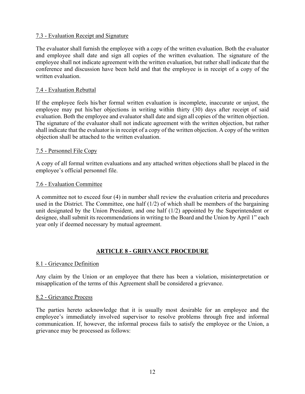## 7.3 - Evaluation Receipt and Signature

The evaluator shall furnish the employee with a copy of the written evaluation. Both the evaluator and employee shall date and sign all copies of the written evaluation. The signature of the employee shall not indicate agreement with the written evaluation, but rather shall indicate that the conference and discussion have been held and that the employee is in receipt of a copy of the written evaluation.

### 7.4 - Evaluation Rebuttal

If the employee feels his/her formal written evaluation is incomplete, inaccurate or unjust, the employee may put his/her objections in writing within thirty (30) days after receipt of said evaluation. Both the employee and evaluator shall date and sign all copies of the written objection. The signature of the evaluator shall not indicate agreement with the written objection, but rather shall indicate that the evaluator is in receipt of a copy of the written objection. A copy of the written objection shall be attached to the written evaluation.

#### 7.5 - Personnel File Copy

A copy of all formal written evaluations and any attached written objections shall be placed in the employee's official personnel file.

#### 7.6 - Evaluation Committee

A committee not to exceed four (4) in number shall review the evaluation criteria and procedures used in the District. The Committee, one half  $(1/2)$  of which shall be members of the bargaining unit designated by the Union President, and one half (1/2) appointed by the Superintendent or designee, shall submit its recommendations in writing to the Board and the Union by April 1" each year only if deemed necessary by mutual agreement.

## **ARTICLE 8 - GRIEVANCE PROCEDURE**

#### 8.1 - Grievance Definition

Any claim by the Union or an employee that there has been a violation, misinterpretation or misapplication of the terms of this Agreement shall be considered a grievance.

#### 8.2 - Grievance Process

The parties hereto acknowledge that it is usually most desirable for an employee and the employee's immediately involved supervisor to resolve problems through free and informal communication. If, however, the informal process fails to satisfy the employee or the Union, a grievance may be processed as follows: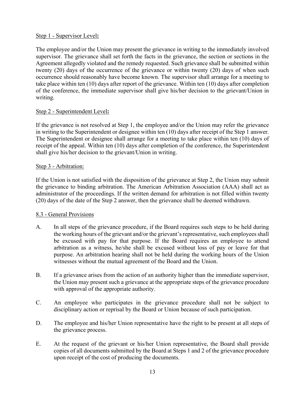## Step 1 - Supervisor Level**:**

The employee and/or the Union may present the grievance in writing to the immediately involved supervisor. The grievance shall set forth the facts in the grievance, the section or sections in the Agreement allegedly violated and the remedy requested. Such grievance shall be submitted within twenty (20) days of the occurrence of the grievance or within twenty (20) days of when such occurrence should reasonably have become known. The supervisor shall arrange for a meeting to take place within ten (10) days after report of the grievance. Within ten (10) days after completion of the conference, the immediate supervisor shall give his/her decision to the grievant/Union in writing.

## Step 2 - Superintendent Level**:**

If the grievance is not resolved at Step 1, the employee and/or the Union may refer the grievance in writing to the Superintendent or designee within ten (10) days after receipt of the Step 1 answer. The Superintendent or designee shall arrange for a meeting to take place within ten (10) days of receipt of the appeal. Within ten (10) days after completion of the conference, the Superintendent shall give his/her decision to the grievant/Union in writing.

## Step 3 - Arbitration:

If the Union is not satisfied with the disposition of the grievance at Step 2, the Union may submit the grievance to binding arbitration. The American Arbitration Association (AAA) shall act as administrator of the proceedings. If the written demand for arbitration is not filled within twenty (20) days of the date of the Step 2 answer, then the grievance shall be deemed withdrawn.

## 8.3 - General Provisions

- A. In all steps of the grievance procedure, if the Board requires such steps to be held during the working hours of the grievant and/or the grievant's representative, such employees shall be excused with pay for that purpose. If the Board requires an employee to attend arbitration as a witness, he/she shall be excused without loss of pay or leave for that purpose. An arbitration hearing shall not be held during the working hours of the Union witnesses without the mutual agreement of the Board and the Union.
- B. If a grievance arises from the action of an authority higher than the immediate supervisor, the Union may present such a grievance at the appropriate steps of the grievance procedure with approval of the appropriate authority.
- C. An employee who participates in the grievance procedure shall not be subject to disciplinary action or reprisal by the Board or Union because of such participation.
- D. The employee and his/her Union representative have the right to be present at all steps of the grievance process.
- E. At the request of the grievant or his/her Union representative, the Board shall provide copies of all documents submitted by the Board at Steps 1 and 2 of the grievance procedure upon receipt of the cost of producing the documents.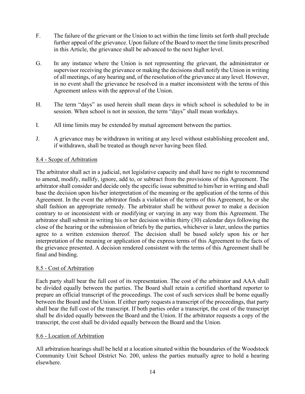- F. The failure of the grievant or the Union to act within the time limits set forth shall preclude further appeal of the grievance. Upon failure of the Board to meet the time limits prescribed in this Article, the grievance shall be advanced to the next higher level.
- G. In any instance where the Union is not representing the grievant, the administrator or supervisor receiving the grievance or making the decisions shall notify the Union in writing of all meetings, of any hearing and, of the resolution of the grievance at any level. However, in no event shall the grievance be resolved in a matter inconsistent with the terms of this Agreement unless with the approval of the Union.
- H. The term "days" as used herein shall mean days in which school is scheduled to be in session. When school is not in session, the term "days" shall mean workdays.
- I. All time limits may be extended by mutual agreement between the parties.
- J. A grievance may be withdrawn in writing at any level without establishing precedent and, if withdrawn, shall be treated as though never having been filed.

## 8.4 - Scope of Arbitration

The arbitrator shall act in a judicial, not legislative capacity and shall have no right to recommend to amend, modify, nullify, ignore, add to, or subtract from the provisions of this Agreement. The arbitrator shall consider and decide only the specific issue submitted to him/her in writing and shall base the decision upon his/her interpretation of the meaning or the application of the terms of this Agreement. In the event the arbitrator finds a violation of the terms of this Agreement, he or she shall fashion an appropriate remedy. The arbitrator shall be without power to make a decision contrary to or inconsistent with or modifying or varying in any way from this Agreement. The arbitrator shall submit in writing his or her decision within thirty (30) calendar days following the close of the hearing or the submission of briefs by the parties, whichever is later, unless the parties agree to a written extension thereof. The decision shall be based solely upon his or her interpretation of the meaning or application of the express terms of this Agreement to the facts of the grievance presented. A decision rendered consistent with the terms of this Agreement shall be final and binding.

## 8.5 - Cost of Arbitration

Each party shall bear the full cost of its representation. The cost of the arbitrator and AAA shall be divided equally between the parties. The Board shall retain a certified shorthand reporter to prepare an official transcript of the proceedings. The cost of such services shall be borne equally between the Board and the Union. If either party requests a transcript of the proceedings, that party shall bear the full cost of the transcript. If both parties order a transcript, the cost of the transcript shall be divided equally between the Board and the Union. If the arbitrator requests a copy of the transcript, the cost shall be divided equally between the Board and the Union.

## 8.6 - Location of Arbitration

All arbitration hearings shall be held at a location situated within the boundaries of the Woodstock Community Unit School District No. 200, unless the parties mutually agree to hold a hearing elsewhere.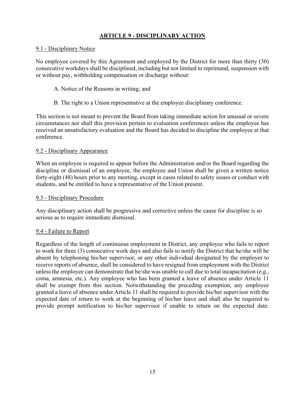# **ARTICLE 9 - DISCIPLINARY ACTION**

#### 9.1 - Disciplinary Notice

No employee covered by this Agreement and employed by the District for more than thirty (30) consecutive workdays shall be disciplined, including but not limited to reprimand, suspension with or without pay, withholding compensation or discharge without:

- A. Notice of the Reasons in writing; and
- B. The right to a Union representative at the employee disciplinary conference.

This section is not meant to prevent the Board from taking immediate action for unusual or severe circumstances nor shall this provision pertain to evaluation conferences unless the employee has received an unsatisfactory evaluation and the Board has decided to discipline the employee at that conference.

## 9.2 - Disciplinary Appearance

When an employee is required to appear before the Administration and/or the Board regarding the discipline or dismissal of an employee, the employee and Union shall be given a written notice forty-eight (48) hours prior to any meeting, except in cases related to safety issues or conduct with students, and be entitled to have a representative of the Union present.

#### 9.3 - Disciplinary Procedure

Any disciplinary action shall be progressive and corrective unless the cause for discipline is so serious as to require immediate dismissal.

## 9.4 - Failure to Report

Regardless of the length of continuous employment in District, any employee who fails to report to work for three (3) consecutive work days and also fails to notify the District that he/she will be absent by telephoning his/her supervisor, or any other individual designated by the employer to receive reports of absence, shall be considered to have resigned from employment with the District unless the employee can demonstrate that he/she was unable to call due to total incapacitation (*e.g.,* coma, amnesia, etc.). Any employee who has been granted a leave of absence under Article 11 shall be exempt from this section. Notwithstanding the preceding exemption, any employee granted a leave of absence under Article 11 shall be required to provide his/her supervisor with the expected date of return to work at the beginning of his/her leave and shall also be required to provide prompt notification to his/her supervisor if unable to return on the expected date.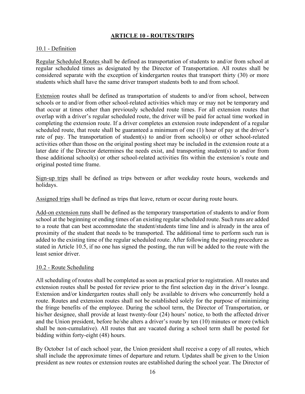## **ARTICLE 10 - ROUTES/TRIPS**

#### 10.1 - Definition

Regular Scheduled Routes shall be defined as transportation of students to and/or from school at regular scheduled times as designated by the Director of Transportation. All routes shall be considered separate with the exception of kindergarten routes that transport thirty (30) or more students which shall have the same driver transport students both to and from school.

Extension routes shall be defined as transportation of students to and/or from school, between schools or to and/or from other school-related activities which may or may not be temporary and that occur at times other than previously scheduled route times. For all extension routes that overlap with a driver's regular scheduled route, the driver will be paid for actual time worked in completing the extension route. If a driver completes an extension route independent of a regular scheduled route, that route shall be guaranteed a minimum of one (1) hour of pay at the driver's rate of pay. The transportation of student(s) to and/or from school(s) or other school-related activities other than those on the original posting sheet may be included in the extension route at a later date if the Director determines the needs exist, and transporting student(s) to and/or from those additional school(s) or other school-related activities fits within the extension's route and original posted time frame.

Sign-up trips shall be defined as trips between or after weekday route hours, weekends and holidays.

Assigned trips shall be defined as trips that leave, return or occur during route hours.

Add-on extension runs shall be defined as the temporary transportation of students to and/or from school at the beginning or ending times of an existing regular scheduled route. Such runs are added to a route that can best accommodate the student/students time line and is already in the area of proximity of the student that needs to be transported. The additional time to perform such run is added to the existing time of the regular scheduled route. After following the posting procedure as stated in Article 10.5, if no one has signed the posting, the run will be added to the route with the least senior driver.

#### 10.2 - Route Scheduling

All scheduling of routes shall be completed as soon as practical prior to registration. All routes and extension routes shall be posted for review prior to the first selection day in the driver's lounge. Extension and/or kindergarten routes shall only be available to drivers who concurrently hold a route. Routes and extension routes shall not be established solely for the purpose of minimizing the fringe benefits of the employee. During the school term, the Director of Transportation, or his/her designee, shall provide at least twenty-four (24) hours' notice, to both the affected driver and the Union president, before he/she alters a driver's route by ten (10) minutes or more (which shall be non-cumulative). All routes that are vacated during a school term shall be posted for bidding within forty-eight (48) hours.

By October 1st of each school year, the Union president shall receive a copy of all routes, which shall include the approximate times of departure and return. Updates shall be given to the Union president as new routes or extension routes are established during the school year. The Director of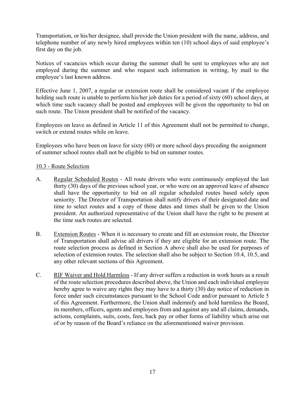Transportation, or his/her designee, shall provide the Union president with the name, address, and telephone number of any newly hired employees within ten (10) school days of said employee's first day on the job.

Notices of vacancies which occur during the summer shall be sent to employees who are not employed during the summer and who request such information in writing, by mail to the employee's last known address.

Effective June 1, 2007, a regular or extension route shall be considered vacant if the employee holding such route is unable to perform his/her job duties for a period of sixty (60) school days, at which time such vacancy shall be posted and employees will be given the opportunity to bid on such route. The Union president shall be notified of the vacancy.

Employees on leave as defined in Article 11 of this Agreement shall not be permitted to change, switch or extend routes while on leave.

Employees who have been on leave for sixty (60) or more school days preceding the assignment of summer school routes shall not be eligible to bid on summer routes.

## 10.3 - Route Selection

- A. Regular Scheduled Routes All route drivers who were continuously employed the last thirty (30) days of the previous school year, or who were on an approved leave of absence shall have the opportunity to bid on all regular scheduled routes based solely upon seniority. The Director of Transportation shall notify drivers of their designated date and time to select routes and a copy of those dates and times shall be given to the Union president. An authorized representative of the Union shall have the right to be present at the time such routes are selected.
- B. Extension Routes When it is necessary to create and fill an extension route, the Director of Transportation shall advise all drivers if they are eligible for an extension route. The route selection process as defined in Section A above shall also be used for purposes of selection of extension routes. The selection shall also be subject to Section 10.4, 10.5, and any other relevant sections of this Agreement.
- C. RIF Waiver and Hold Harmless If any driver suffers a reduction in work hours as a result of the route selection procedures described above, the Union and each individual employee hereby agree to waive any rights they may have to a thirty (30) day notice of reduction in force under such circumstances pursuant to the School Code and/or pursuant to Article 5 of this Agreement. Furthermore, the Union shall indemnify and hold harmless the Board, its members, officers, agents and employees from and against any and all claims, demands, actions, complaints, suits, costs, fees, back pay or other forms of liability which arise out of or by reason of the Board's reliance on the aforementioned waiver provision.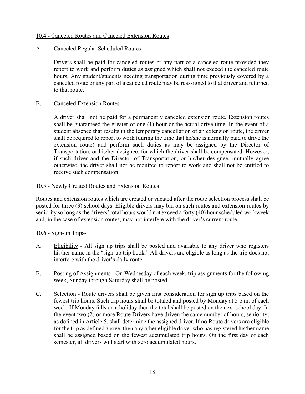### 10.4 - Canceled Routes and Canceled Extension Routes

#### A. Canceled Regular Scheduled Routes

Drivers shall be paid for canceled routes or any part of a canceled route provided they report to work and perform duties as assigned which shall not exceed the canceled route hours. Any student/students needing transportation during time previously covered by a canceled route or any part of a canceled route may be reassigned to that driver and returned to that route.

#### B. Canceled Extension Routes

A driver shall not be paid for a permanently canceled extension route. Extension routes shall be guaranteed the greater of one (1) hour or the actual drive time. In the event of a student absence that results in the temporary cancellation of an extension route, the driver shall be required to report to work (during the time that he/she is normally paid to drive the extension route) and perform such duties as may be assigned by the Director of Transportation, or his/her designee, for which the driver shall be compensated. However, if such driver and the Director of Transportation, or his/her designee, mutually agree otherwise, the driver shall not be required to report to work and shall not be entitled to receive such compensation.

#### 10.5 - Newly Created Routes and Extension Routes

Routes and extension routes which are created or vacated after the route selection process shall be posted for three (3) school days. Eligible drivers may bid on such routes and extension routes by seniority so long as the drivers' total hours would not exceed a forty (40) hour scheduled workweek and, in the case of extension routes, may not interfere with the driver's current route.

## 10.6 - Sign-up Trips-

- A. Eligibility All sign up trips shall be posted and available to any driver who registers his/her name in the "sign-up trip book." All drivers are eligible as long as the trip does not interfere with the driver's daily route.
- B. Posting of Assignments On Wednesday of each week, trip assignments for the following week, Sunday through Saturday shall be posted.
- C. Selection Route drivers shall be given first consideration for sign up trips based on the fewest trip hours. Such trip hours shall be totaled and posted by Monday at 5 p.m. of each week. If Monday falls on a holiday then the total shall be posted on the next school day. In the event two (2) or more Route Drivers have driven the same number of hours, seniority, as defined in Article 5, shall determine the assigned driver. If no Route drivers are eligible for the trip as defined above, then any other eligible driver who has registered his/her name shall be assigned based on the fewest accumulated trip hours. On the first day of each semester, all drivers will start with zero accumulated hours.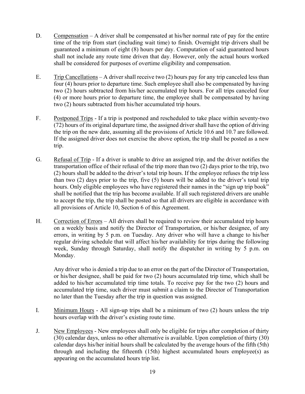- D. Compensation A driver shall be compensated at his/her normal rate of pay for the entire time of the trip from start (including wait time) to finish. Overnight trip drivers shall be guaranteed a minimum of eight (8) hours per day. Computation of said guaranteed hours shall not include any route time driven that day. However, only the actual hours worked shall be considered for purposes of overtime eligibility and compensation.
- E. Trip Cancellations A driver shall receive two  $(2)$  hours pay for any trip canceled less than four (4) hours prior to departure time. Such employee shall also be compensated by having two (2) hours subtracted from his/her accumulated trip hours. For all trips canceled four (4) or more hours prior to departure time, the employee shall be compensated by having two (2) hours subtracted from his/her accumulated trip hours.
- F. Postponed Trips If a trip is postponed and rescheduled to take place within seventy-two (72) hours of its original departure time, the assigned driver shall have the option of driving the trip on the new date, assuming all the provisions of Article 10.6 and 10.7 are followed. If the assigned driver does not exercise the above option, the trip shall be posted as a new trip.
- G. Refusal of Trip If a driver is unable to drive an assigned trip, and the driver notifies the transportation office of their refusal of the trip more than two (2) days prior to the trip, two (2) hours shall be added to the driver's total trip hours. If the employee refuses the trip less than two (2) days prior to the trip, five (5) hours will be added to the driver's total trip hours. Only eligible employees who have registered their names in the "sign up trip book" shall be notified that the trip has become available. If all such registered drivers are unable to accept the trip, the trip shall be posted so that all drivers are eligible in accordance with all provisions of Article 10, Section 6 of this Agreement.
- H. Correction of Errors All drivers shall be required to review their accumulated trip hours on a weekly basis and notify the Director of Transportation, or his/her designee, of any errors, in writing by 5 p.m. on Tuesday. Any driver who will have a change to his/her regular driving schedule that will affect his/her availability for trips during the following week, Sunday through Saturday, shall notify the dispatcher in writing by 5 p.m. on Monday.

Any driver who is denied a trip due to an error on the part of the Director of Transportation, or his/her designee, shall be paid for two (2) hours accumulated trip time, which shall be added to his/her accumulated trip time totals. To receive pay for the two (2) hours and accumulated trip time, such driver must submit a claim to the Director of Transportation no later than the Tuesday after the trip in question was assigned.

- I. Minimum Hours All sign-up trips shall be a minimum of two (2) hours unless the trip hours overlap with the driver's existing route time.
- J. New Employees New employees shall only be eligible for trips after completion of thirty (30) calendar days, unless no other alternative is available. Upon completion of thirty (30) calendar days his/her initial hours shall be calculated by the average hours of the fifth (5th) through and including the fifteenth (15th) highest accumulated hours employee(s) as appearing on the accumulated hours trip list.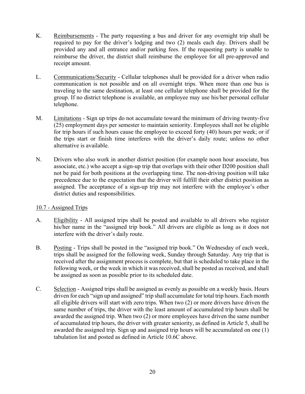- K. Reimbursements The party requesting a bus and driver for any overnight trip shall be required to pay for the driver's lodging and two (2) meals each day. Drivers shall be provided any and all entrance and/or parking fees. If the requesting party is unable to reimburse the driver, the district shall reimburse the employee for all pre-approved and receipt amount.
- L. Communications/Security Cellular telephones shall be provided for a driver when radio communication is not possible and on all overnight trips. When more than one bus is traveling to the same destination, at least one cellular telephone shall be provided for the group. If no district telephone is available, an employee may use his/her personal cellular telephone.
- M. Limitations Sign up trips do not accumulate toward the minimum of driving twenty-five (25) employment days per semester to maintain seniority. Employees shall not be eligible for trip hours if such hours cause the employee to exceed forty (40) hours per week; or if the trips start or finish time interferes with the driver's daily route; unless no other alternative is available.
- N. Drivers who also work in another district position (for example noon hour associate, bus associate, etc.) who accept a sign-up trip that overlaps with their other D200 position shall not be paid for both positions at the overlapping time. The non-driving position will take precedence due to the expectation that the driver will fulfill their other district position as assigned. The acceptance of a sign-up trip may not interfere with the employee's other district duties and responsibilities.

## 10.7 - Assigned Trips

- A. Eligibility All assigned trips shall be posted and available to all drivers who register his/her name in the "assigned trip book." All drivers are eligible as long as it does not interfere with the driver's daily route.
- B. Posting Trips shall be posted in the "assigned trip book." On Wednesday of each week, trips shall be assigned for the following week, Sunday through Saturday. Any trip that is received after the assignment process is complete, but that is scheduled to take place in the following week, or the week in which it was received, shall be posted as received, and shall be assigned as soon as possible prior to its scheduled date.
- C. Selection Assigned trips shall be assigned as evenly as possible on a weekly basis. Hours driven for each "sign up and assigned" trip shall accumulate for total trip hours. Each month all eligible drivers will start with zero trips. When two (2) or more drivers have driven the same number of trips, the driver with the least amount of accumulated trip hours shall be awarded the assigned trip. When two (2) or more employees have driven the same number of accumulated trip hours, the driver with greater seniority, as defined in Article 5, shall be awarded the assigned trip. Sign up and assigned trip hours will be accumulated on one (1) tabulation list and posted as defined in Article 10.6C above.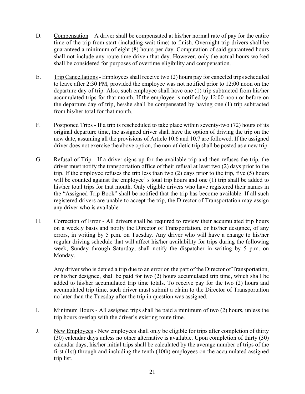- D. Compensation A driver shall be compensated at his/her normal rate of pay for the entire time of the trip from start (including wait time) to finish. Overnight trip drivers shall be guaranteed a minimum of eight (8) hours per day. Computation of said guaranteed hours shall not include any route time driven that day. However, only the actual hours worked shall be considered for purposes of overtime eligibility and compensation.
- E. Trip Cancellations- Employees shall receive two (2) hours pay for canceled trips scheduled to leave after 2:30 PM, provided the employee was not notified prior to 12:00 noon on the departure day of trip. Also, such employee shall have one (1) trip subtracted from his/her accumulated trips for that month. If the employee is notified by 12:00 noon or before on the departure day of trip, he/she shall be compensated by having one (1) trip subtracted from his/her total for that month.
- F. Postponed Trips If a trip is rescheduled to take place within seventy-two (72) hours of its original departure time, the assigned driver shall have the option of driving the trip on the new date, assuming all the provisions of Article 10.6 and 10.7 are followed. If the assigned driver does not exercise the above option, the non-athletic trip shall be posted as a new trip.
- G. Refusal of Trip If a driver signs up for the available trip and then refuses the trip, the driver must notify the transportation office of their refusal at least two (2) days prior to the trip. If the employee refuses the trip less than two (2) days prior to the trip, five (5) hours will be counted against the employee' s total trip hours and one (1) trip shall be added to his/her total trips for that month. Only eligible drivers who have registered their names in the "Assigned Trip Book" shall be notified that the trip has become available. If all such registered drivers are unable to accept the trip, the Director of Transportation may assign any driver who is available.
- H. Correction of Error All drivers shall be required to review their accumulated trip hours on a weekly basis and notify the Director of Transportation, or his/her designee, of any errors, in writing by 5 p.m. on Tuesday. Any driver who will have a change to his/her regular driving schedule that will affect his/her availability for trips during the following week, Sunday through Saturday, shall notify the dispatcher in writing by 5 p.m. on Monday.

Any driver who is denied a trip due to an error on the part of the Director of Transportation, or his/her designee, shall be paid for two (2) hours accumulated trip time, which shall be added to his/her accumulated trip time totals. To receive pay for the two (2) hours and accumulated trip time, such driver must submit a claim to the Director of Transportation no later than the Tuesday after the trip in question was assigned.

- I. Minimum Hours All assigned trips shall be paid a minimum of two (2) hours, unless the trip hours overlap with the driver's existing route time.
- J. New Employees New employees shall only be eligible for trips after completion of thirty (30) calendar days unless no other alternative is available. Upon completion of thirty (30) calendar days, his/her initial trips shall be calculated by the average number of trips of the first (1st) through and including the tenth (10th) employees on the accumulated assigned trip list.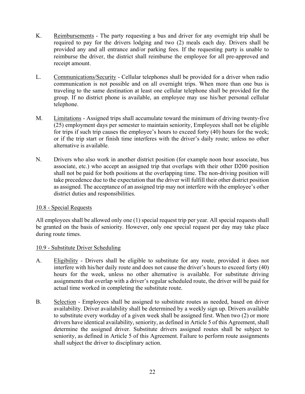- K. Reimbursements The party requesting a bus and driver for any overnight trip shall be required to pay for the drivers lodging and two (2) meals each day. Drivers shall be provided any and all entrance and/or parking fees. If the requesting party is unable to reimburse the driver, the district shall reimburse the employee for all pre-approved and receipt amount.
- L. Communications/Security Cellular telephones shall be provided for a driver when radio communication is not possible and on all overnight trips. When more than one bus is traveling to the same destination at least one cellular telephone shall be provided for the group. If no district phone is available, an employee may use his/her personal cellular telephone.
- M. Limitations Assigned trips shall accumulate toward the minimum of driving twenty-five (25) employment days per semester to maintain seniority, Employees shall not be eligible for trips if such trip causes the employee's hours to exceed forty (40) hours for the week; or if the trip start or finish time interferes with the driver's daily route; unless no other alternative is available.
- N. Drivers who also work in another district position (for example noon hour associate, bus associate, etc.) who accept an assigned trip that overlaps with their other D200 position shall not be paid for both positions at the overlapping time. The non-driving position will take precedence due to the expectation that the driver will fulfill their other district position as assigned. The acceptance of an assigned trip may not interfere with the employee's other district duties and responsibilities.

## 10.8 - Special Requests

All employees shall be allowed only one (1) special request trip per year. All special requests shall be granted on the basis of seniority. However, only one special request per day may take place during route times.

## 10.9 - Substitute Driver Scheduling

- A. Eligibility Drivers shall be eligible to substitute for any route, provided it does not interfere with his/her daily route and does not cause the driver's hours to exceed forty (40) hours for the week, unless no other alternative is available. For substitute driving assignments that overlap with a driver's regular scheduled route, the driver will be paid for actual time worked in completing the substitute route.
- B. Selection Employees shall be assigned to substitute routes as needed, based on driver availability. Driver availability shall be determined by a weekly sign up. Drivers available to substitute every workday of a given week shall be assigned first. When two (2) or more drivers have identical availability, seniority, as defined in Article 5 of this Agreement, shall determine the assigned driver. Substitute drivers assigned routes shall be subject to seniority, as defined in Article 5 of this Agreement. Failure to perform route assignments shall subject the driver to disciplinary action.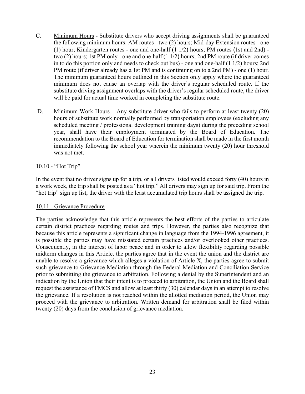- C. Minimum Hours Substitute drivers who accept driving assignments shall be guaranteed the following minimum hours: AM routes - two (2) hours; Mid-day Extension routes - one (1) hour; Kindergarten routes - one and one-half (1 1/2) hours; PM routes (1st and 2nd) two (2) hours; 1st PM only - one and one-half (1 1/2) hours; 2nd PM route (if driver comes in to do this portion only and needs to check out bus) - one and one-half (1 1/2) hours; 2nd PM route (if driver already has a 1st PM and is continuing on to a 2nd PM) - one (1) hour. The minimum guaranteed hours outlined in this Section only apply where the guaranteed minimum does not cause an overlap with the driver's regular scheduled route. If the substitute driving assignment overlaps with the driver's regular scheduled route, the driver will be paid for actual time worked in completing the substitute route.
- D. Minimum Work Hours Any substitute driver who fails to perform at least twenty (20) hours of substitute work normally performed by transportation employees (excluding any scheduled meeting / professional development training days) during the preceding school year, shall have their employment terminated by the Board of Education. The recommendation to the Board of Education for termination shall be made in the first month immediately following the school year wherein the minimum twenty (20) hour threshold was not met.

## 10.10 - "Hot Trip"

In the event that no driver signs up for a trip, or all drivers listed would exceed forty (40) hours in a work week, the trip shall be posted as a "hot trip." All drivers may sign up for said trip. From the "hot trip" sign up list, the driver with the least accumulated trip hours shall be assigned the trip.

#### 10.11 - Grievance Procedure

The parties acknowledge that this article represents the best efforts of the parties to articulate certain district practices regarding routes and trips. However, the parties also recognize that because this article represents a significant change in language from the 1994-1996 agreement, it is possible the parties may have misstated certain practices and/or overlooked other practices. Consequently, in the interest of labor peace and in order to allow flexibility regarding possible midterm changes in this Article, the parties agree that in the event the union and the district are unable to resolve a grievance which alleges a violation of Article X, the parties agree to submit such grievance to Grievance Mediation through the Federal Mediation and Conciliation Service prior to submitting the grievance to arbitration. Following a denial by the Superintendent and an indication by the Union that their intent is to proceed to arbitration, the Union and the Board shall request the assistance of FMCS and allow at least thirty (30) calendar days in an attempt to resolve the grievance. If a resolution is not reached within the allotted mediation period, the Union may proceed with the grievance to arbitration. Written demand for arbitration shall be filed within twenty (20) days from the conclusion of grievance mediation.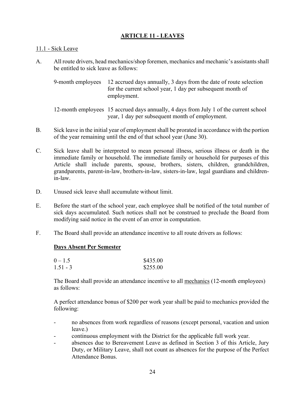## **ARTICLE 11 - LEAVES**

#### 11.1 - Sick Leave

A. All route drivers, head mechanics/shop foremen, mechanics and mechanic's assistants shall be entitled to sick leave as follows:

 9-month employees 12 accrued days annually, 3 days from the date of route selection for the current school year, 1 day per subsequent month of employment.

 12-month employees 15 accrued days annually, 4 days from July 1 of the current school year, 1 day per subsequent month of employment.

- B. Sick leave in the initial year of employment shall be prorated in accordance with the portion of the year remaining until the end of that school year (June 30).
- C. Sick leave shall be interpreted to mean personal illness, serious illness or death in the immediate family or household. The immediate family or household for purposes of this Article shall include parents, spouse, brothers, sisters, children, grandchildren, grandparents, parent-in-law, brothers-in-law, sisters-in-law, legal guardians and childrenin-law.
- D. Unused sick leave shall accumulate without limit.
- E. Before the start of the school year, each employee shall be notified of the total number of sick days accumulated. Such notices shall not be construed to preclude the Board from modifying said notice in the event of an error in computation.
- F. The Board shall provide an attendance incentive to all route drivers as follows:

#### **Days Absent Per Semester**

| $0 - 1.5$  | \$435.00 |
|------------|----------|
| $1.51 - 3$ | \$255.00 |

The Board shall provide an attendance incentive to all mechanics (12-month employees) as follows:

A perfect attendance bonus of \$200 per work year shall be paid to mechanics provided the following:

- no absences from work regardless of reasons (except personal, vacation and union leave.)
- continuous employment with the District for the applicable full work year.
- absences due to Bereavement Leave as defined in Section 3 of this Article, Jury Duty, or Military Leave, shall not count as absences for the purpose of the Perfect Attendance Bonus.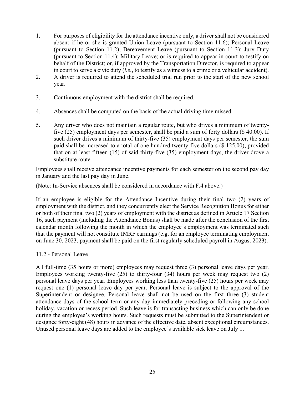- 1. For purposes of eligibility for the attendance incentive only, a driver shall not be considered absent if he or she is granted Union Leave (pursuant to Section 11.6); Personal Leave (pursuant to Section 11.2); Bereavement Leave (pursuant to Section 11.3); Jury Duty (pursuant to Section 11.4); Military Leave; or is required to appear in court to testify on behalf of the District; or, if approved by the Transportation Director, is required to appear in court to serve a civic duty (*i.e.,* to testify as a witness to a crime or a vehicular accident).
- 2. A driver is required to attend the scheduled trial run prior to the start of the new school year.
- 3. Continuous employment with the district shall be required.
- 4. Absences shall be computed on the basis of the actual driving time missed.
- 5. Any driver who does not maintain a regular route, but who drives a minimum of twentyfive (25) employment days per semester, shall be paid a sum of forty dollars (\$ 40.00). If such driver drives a minimum of thirty-five (35) employment days per semester, the sum paid shall be increased to a total of one hundred twenty-five dollars (\$ 125.00), provided that on at least fifteen (15) of said thirty-five (35) employment days, the driver drove a substitute route.

Employees shall receive attendance incentive payments for each semester on the second pay day in January and the last pay day in June.

(Note: In-Service absences shall be considered in accordance with F.4 above.)

If an employee is eligible for the Attendance Incentive during their final two (2) years of employment with the district, and they concurrently elect the Service Recognition Bonus for either or both of their final two (2) years of employment with the district as defined in Article 17 Section 16, such payment (including the Attendance Bonus) shall be made after the conclusion of the first calendar month following the month in which the employee's employment was terminated such that the payment will not constitute IMRF earnings (e.g. for an employee terminating employment on June 30, 2023, payment shall be paid on the first regularly scheduled payroll in August 2023).

## 11.2 - Personal Leave

All full-time (35 hours or more) employees may request three (3) personal leave days per year. Employees working twenty-five (25) to thirty-four (34) hours per week may request two (2) personal leave days per year. Employees working less than twenty-five (25) hours per week may request one (1) personal leave day per year. Personal leave is subject to the approval of the Superintendent or designee. Personal leave shall not be used on the first three (3) student attendance days of the school term or any day immediately preceding or following any school holiday, vacation or recess period. Such leave is for transacting business which can only be done during the employee's working hours. Such requests must be submitted to the Superintendent or designee forty-eight (48) hours in advance of the effective date, absent exceptional circumstances. Unused personal leave days are added to the employee's available sick leave on July 1.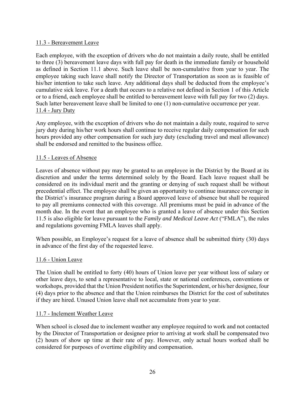## 11.3 - Bereavement Leave

Each employee, with the exception of drivers who do not maintain a daily route, shall be entitled to three (3) bereavement leave days with full pay for death in the immediate family or household as defined in Section 11.1 above. Such leave shall be non-cumulative from year to year. The employee taking such leave shall notify the Director of Transportation as soon as is feasible of his/her intention to take such leave. Any additional days shall be deducted from the employee's cumulative sick leave. For a death that occurs to a relative not defined in Section 1 of this Article or to a friend, each employee shall be entitled to bereavement leave with full pay for two (2) days. Such latter bereavement leave shall be limited to one (1) non-cumulative occurrence per year. 11.4 - Jury Duty

Any employee, with the exception of drivers who do not maintain a daily route, required to serve jury duty during his/her work hours shall continue to receive regular daily compensation for such hours provided any other compensation for such jury duty (excluding travel and meal allowance) shall be endorsed and remitted to the business office.

#### 11.5 - Leaves of Absence

Leaves of absence without pay may be granted to an employee in the District by the Board at its discretion and under the terms determined solely by the Board. Each leave request shall be considered on its individual merit and the granting or denying of such request shall be without precedential effect. The employee shall be given an opportunity to continue insurance coverage in the District's insurance program during a Board approved leave of absence but shall be required to pay all premiums connected with this coverage. All premiums must be paid in advance of the month due. In the event that an employee who is granted a leave of absence under this Section 11.5 is also eligible for leave pursuant to the *Family and Medical Leave Act* ("FMLA"), the rules and regulations governing FMLA leaves shall apply.

When possible, an Employee's request for a leave of absence shall be submitted thirty (30) days in advance of the first day of the requested leave.

#### 11.6 - Union Leave

The Union shall be entitled to forty (40) hours of Union leave per year without loss of salary or other leave days, to send a representative to local, state or national conferences, conventions or workshops, provided that the Union President notifies the Superintendent, or his/her designee, four (4) days prior to the absence and that the Union reimburses the District for the cost of substitutes if they are hired. Unused Union leave shall not accumulate from year to year.

#### 11.7 - Inclement Weather Leave

When school is closed due to inclement weather any employee required to work and not contacted by the Director of Transportation or designee prior to arriving at work shall be compensated two (2) hours of show up time at their rate of pay. However, only actual hours worked shall be considered for purposes of overtime eligibility and compensation.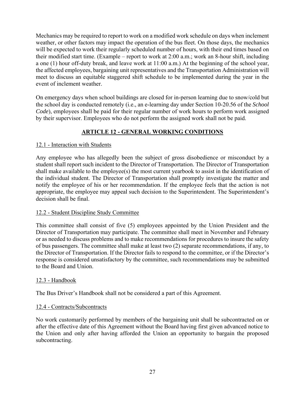Mechanics may be required to report to work on a modified work schedule on days when inclement weather, or other factors may impact the operation of the bus fleet. On those days, the mechanics will be expected to work their regularly scheduled number of hours, with their end times based on their modified start time. (Example – report to work at 2:00 a.m.; work an 8-hour shift, including a one (1) hour off-duty break, and leave work at 11:00 a.m.) At the beginning of the school year, the affected employees, bargaining unit representatives and the Transportation Administration will meet to discuss an equitable staggered shift schedule to be implemented during the year in the event of inclement weather.

On emergency days when school buildings are closed for in-person learning due to snow/cold but the school day is conducted remotely (i.e., an e-learning day under Section 10-20.56 of the *School Code*), employees shall be paid for their regular number of work hours to perform work assigned by their supervisor. Employees who do not perform the assigned work shall not be paid.

## **ARTICLE 12 - GENERAL WORKING CONDITIONS**

## 12.1 - Interaction with Students

Any employee who has allegedly been the subject of gross disobedience or misconduct by a student shall report such incident to the Director of Transportation. The Director of Transportation shall make available to the employee(s) the most current yearbook to assist in the identification of the individual student. The Director of Transportation shall promptly investigate the matter and notify the employee of his or her recommendation. If the employee feels that the action is not appropriate, the employee may appeal such decision to the Superintendent. The Superintendent's decision shall be final.

## 12.2 - Student Discipline Study Committee

This committee shall consist of five (5) employees appointed by the Union President and the Director of Transportation may participate. The committee shall meet in November and February or as needed to discuss problems and to make recommendations for procedures to insure the safety of bus passengers. The committee shall make at least two (2) separate recommendations, if any, to the Director of Transportation. If the Director fails to respond to the committee, or if the Director's response is considered unsatisfactory by the committee, such recommendations may be submitted to the Board and Union.

## 12.3 - Handbook

The Bus Driver's Handbook shall not be considered a part of this Agreement.

## 12.4 - Contracts/Subcontracts

No work customarily performed by members of the bargaining unit shall be subcontracted on or after the effective date of this Agreement without the Board having first given advanced notice to the Union and only after having afforded the Union an opportunity to bargain the proposed subcontracting.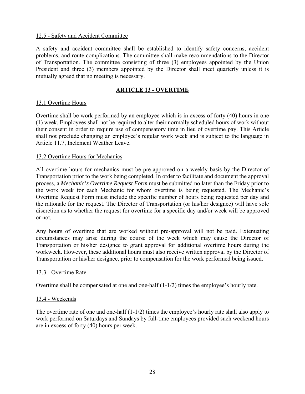### 12.5 - Safety and Accident Committee

A safety and accident committee shall be established to identify safety concerns, accident problems, and route complications. The committee shall make recommendations to the Director of Transportation. The committee consisting of three (3) employees appointed by the Union President and three (3) members appointed by the Director shall meet quarterly unless it is mutually agreed that no meeting is necessary.

## **ARTICLE 13 - OVERTIME**

#### 13.1 Overtime Hours

Overtime shall be work performed by an employee which is in excess of forty (40) hours in one (1) week. Employees shall not be required to alter their normally scheduled hours of work without their consent in order to require use of compensatory time in lieu of overtime pay. This Article shall not preclude changing an employee's regular work week and is subject to the language in Article 11.7, Inclement Weather Leave.

#### 13.2 Overtime Hours for Mechanics

All overtime hours for mechanics must be pre-approved on a weekly basis by the Director of Transportation prior to the work being completed. In order to facilitate and document the approval process, a *Mechanic's Overtime Request Form* must be submitted no later than the Friday prior to the work week for each Mechanic for whom overtime is being requested. The Mechanic's Overtime Request Form must include the specific number of hours being requested per day and the rationale for the request. The Director of Transportation (or his/her designee) will have sole discretion as to whether the request for overtime for a specific day and/or week will be approved or not.

Any hours of overtime that are worked without pre-approval will not be paid. Extenuating circumstances may arise during the course of the week which may cause the Director of Transportation or his/her designee to grant approval for additional overtime hours during the workweek. However, these additional hours must also receive written approval by the Director of Transportation or his/her designee, prior to compensation for the work performed being issued.

## 13.3 - Overtime Rate

Overtime shall be compensated at one and one-half  $(1-1/2)$  times the employee's hourly rate.

#### 13.4 - Weekends

The overtime rate of one and one-half (1-1/2) times the employee's hourly rate shall also apply to work performed on Saturdays and Sundays by full-time employees provided such weekend hours are in excess of forty (40) hours per week.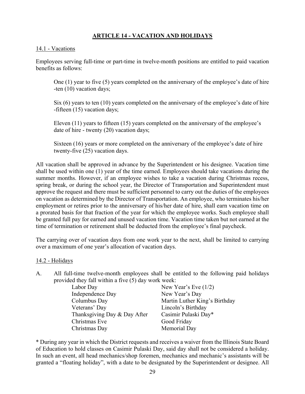## **ARTICLE 14 - VACATION AND HOLIDAYS**

#### 14.1 - Vacations

Employees serving full-time or part-time in twelve-month positions are entitled to paid vacation benefits as follows:

One (1) year to five (5) years completed on the anniversary of the employee's date of hire -ten (10) vacation days;

Six (6) years to ten (10) years completed on the anniversary of the employee's date of hire -fifteen (15) vacation days;

Eleven (11) years to fifteen (15) years completed on the anniversary of the employee's date of hire - twenty (20) vacation days;

Sixteen (16) years or more completed on the anniversary of the employee's date of hire twenty-five (25) vacation days.

All vacation shall be approved in advance by the Superintendent or his designee. Vacation time shall be used within one (1) year of the time earned. Employees should take vacations during the summer months. However, if an employee wishes to take a vacation during Christmas recess, spring break, or during the school year, the Director of Transportation and Superintendent must approve the request and there must be sufficient personnel to carry out the duties of the employees on vacation as determined by the Director of Transportation. An employee, who terminates his/her employment or retires prior to the anniversary of his/her date of hire, shall earn vacation time on a prorated basis for that fraction of the year for which the employee works. Such employee shall be granted full pay for earned and unused vacation time. Vacation time taken but not earned at the time of termination or retirement shall be deducted from the employee's final paycheck.

The carrying over of vacation days from one work year to the next, shall be limited to carrying over a maximum of one year's allocation of vacation days.

#### 14.2 - Holidays

A. All full-time twelve-month employees shall be entitled to the following paid holidays provided they fall within a five (5) day work week:

| Labor Day                    | New Year's Eve $(1/2)$        |
|------------------------------|-------------------------------|
| Independence Day             | New Year's Day                |
| Columbus Day                 | Martin Luther King's Birthday |
| Veterans' Day                | Lincoln's Birthday            |
| Thanksgiving Day & Day After | Casimir Pulaski Day*          |
| Christmas Eve                | Good Friday                   |
| Christmas Day                | Memorial Day                  |

\* During any year in which the District requests and receives a waiver from the Illinois State Board of Education to hold classes on Casimir Pulaski Day, said day shall not be considered a holiday. In such an event, all head mechanics/shop foremen, mechanics and mechanic's assistants will be granted a "floating holiday", with a date to be designated by the Superintendent or designee. All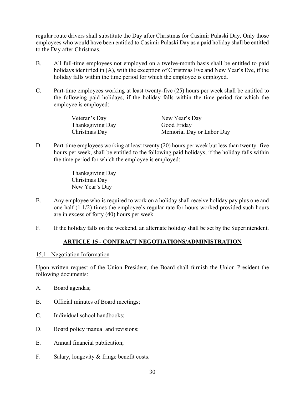regular route drivers shall substitute the Day after Christmas for Casimir Pulaski Day. Only those employees who would have been entitled to Casimir Pulaski Day as a paid holiday shall be entitled to the Day after Christmas.

- B. All full-time employees not employed on a twelve-month basis shall be entitled to paid holidays identified in (A), with the exception of Christmas Eve and New Year's Eve, if the holiday falls within the time period for which the employee is employed.
- C. Part-time employees working at least twenty-five (25) hours per week shall be entitled to the following paid holidays, if the holiday falls within the time period for which the employee is employed:

| Veteran's Day    | New Year's Day            |
|------------------|---------------------------|
| Thanksgiving Day | Good Friday               |
| Christmas Day    | Memorial Day or Labor Day |

D. Part-time employees working at least twenty (20) hours per week but less than twenty-five hours per week, shall be entitled to the following paid holidays, if the holiday falls within the time period for which the employee is employed:

> Thanksgiving Day Christmas Day New Year's Day

- E. Any employee who is required to work on a holiday shall receive holiday pay plus one and one-half (1 1/2) times the employee's regular rate for hours worked provided such hours are in excess of forty (40) hours per week.
- F. If the holiday falls on the weekend, an alternate holiday shall be set by the Superintendent.

## **ARTICLE 15 - CONTRACT NEGOTIATIONS/ADMINISTRATION**

#### 15.1 - Negotiation Information

Upon written request of the Union President, the Board shall furnish the Union President the following documents:

- A. Board agendas;
- B. Official minutes of Board meetings;
- C. Individual school handbooks;
- D. Board policy manual and revisions;
- E. Annual financial publication;
- F. Salary, longevity & fringe benefit costs.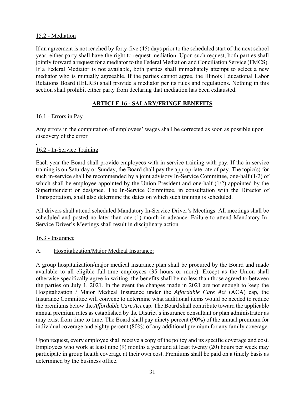## 15.2 - Mediation

If an agreement is not reached by forty-five (45) days prior to the scheduled start of the next school year, either party shall have the right to request mediation. Upon such request, both parties shall jointly forward a request for a mediator to the Federal Mediation and Conciliation Service (FMCS). If a Federal Mediator is not available, both parties shall immediately attempt to select a new mediator who is mutually agreeable. If the parties cannot agree, the Illinois Educational Labor Relations Board (IELRB) shall provide a mediator per its rules and regulations. Nothing in this section shall prohibit either party from declaring that mediation has been exhausted.

## **ARTICLE 16 - SALARY/FRINGE BENEFITS**

## 16.1 - Errors in Pay

Any errors in the computation of employees' wages shall be corrected as soon as possible upon discovery of the error

#### . 16.2 - In-Service Training

Each year the Board shall provide employees with in-service training with pay. If the in-service training is on Saturday or Sunday, the Board shall pay the appropriate rate of pay. The topic(s) for such in-service shall be recommended by a joint advisory In-Service Committee, one-half (1/2) of which shall be employee appointed by the Union President and one-half (1/2) appointed by the Superintendent or designee. The In-Service Committee, in consultation with the Director of Transportation, shall also determine the dates on which such training is scheduled.

All drivers shall attend scheduled Mandatory In-Service Driver's Meetings. All meetings shall be scheduled and posted no later than one (1) month in advance. Failure to attend Mandatory In-Service Driver's Meetings shall result in disciplinary action.

## 16.3 - Insurance

## A. Hospitalization/Major Medical Insurance:

A group hospitalization/major medical insurance plan shall be procured by the Board and made available to all eligible full-time employees (35 hours or more). Except as the Union shall otherwise specifically agree in writing, the benefits shall be no less than those agreed to between the parties on July 1, 2021. In the event the changes made in 2021 are not enough to keep the Hospitalization / Major Medical Insurance under the *Affordable Care Act* (ACA) cap, the Insurance Committee will convene to determine what additional items would be needed to reduce the premiums below the *Affordable Care Act* cap. The Board shall contribute toward the applicable annual premium rates as established by the District's insurance consultant or plan administrator as may exist from time to time. The Board shall pay ninety percent (90%) of the annual premium for individual coverage and eighty percent (80%) of any additional premium for any family coverage.

Upon request, every employee shall receive a copy of the policy and its specific coverage and cost. Employees who work at least nine (9) months a year and at least twenty (20) hours per week may participate in group health coverage at their own cost. Premiums shall be paid on a timely basis as determined by the business office.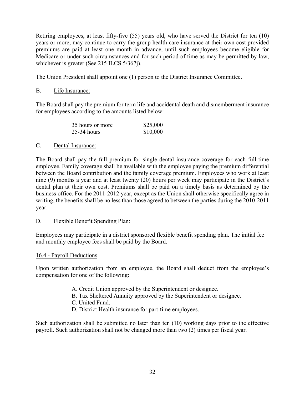Retiring employees, at least fifty-five (55) years old, who have served the District for ten (10) years or more, may continue to carry the group health care insurance at their own cost provided premiums are paid at least one month in advance, until such employees become eligible for Medicare or under such circumstances and for such period of time as may be permitted by law, whichever is greater (See 215 ILCS 5/367j).

The Union President shall appoint one (1) person to the District Insurance Committee.

## B. Life Insurance:

The Board shall pay the premium for term life and accidental death and dismemberment insurance for employees according to the amounts listed below:

| 35 hours or more | \$25,000 |
|------------------|----------|
| 25-34 hours      | \$10,000 |

## C. Dental Insurance:

The Board shall pay the full premium for single dental insurance coverage for each full-time employee. Family coverage shall be available with the employee paying the premium differential between the Board contribution and the family coverage premium. Employees who work at least nine (9) months a year and at least twenty (20) hours per week may participate in the District's dental plan at their own cost. Premiums shall be paid on a timely basis as determined by the business office. For the 2011-2012 year, except as the Union shall otherwise specifically agree in writing, the benefits shall be no less than those agreed to between the parties during the 2010-2011 year.

## D. Flexible Benefit Spending Plan:

Employees may participate in a district sponsored flexible benefit spending plan. The initial fee and monthly employee fees shall be paid by the Board.

## 16.4 - Payroll Deductions

Upon written authorization from an employee, the Board shall deduct from the employee's compensation for one of the following:

- A. Credit Union approved by the Superintendent or designee.
- B. Tax Sheltered Annuity approved by the Superintendent or designee.
- C. United Fund.
- D. District Health insurance for part-time employees.

Such authorization shall be submitted no later than ten (10) working days prior to the effective payroll. Such authorization shall not be changed more than two (2) times per fiscal year.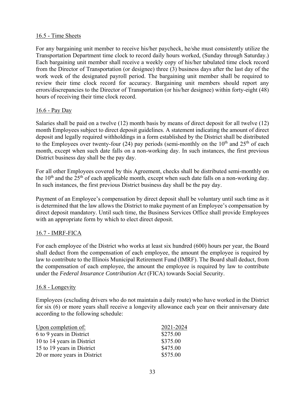### 16.5 - Time Sheets

For any bargaining unit member to receive his/her paycheck, he/she must consistently utilize the Transportation Department time clock to record daily hours worked, (Sunday through Saturday.) Each bargaining unit member shall receive a weekly copy of his/her tabulated time clock record from the Director of Transportation (or designee) three (3) business days after the last day of the work week of the designated payroll period. The bargaining unit member shall be required to review their time clock record for accuracy. Bargaining unit members should report any errors/discrepancies to the Director of Transportation (or his/her designee) within forty-eight (48) hours of receiving their time clock record.

#### 16.6 - Pay Day

Salaries shall be paid on a twelve (12) month basis by means of direct deposit for all twelve (12) month Employees subject to direct deposit guidelines. A statement indicating the amount of direct deposit and legally required withholdings in a form established by the District shall be distributed to the Employees over twenty-four (24) pay periods (semi-monthly on the  $10<sup>th</sup>$  and  $25<sup>th</sup>$  of each month, except when such date falls on a non-working day. In such instances, the first previous District business day shall be the pay day.

For all other Employees covered by this Agreement, checks shall be distributed semi-monthly on the  $10<sup>th</sup>$  and the  $25<sup>th</sup>$  of each applicable month, except when such date falls on a non-working day. In such instances, the first previous District business day shall be the pay day.

Payment of an Employee's compensation by direct deposit shall be voluntary until such time as it is determined that the law allows the District to make payment of an Employee's compensation by direct deposit mandatory. Until such time, the Business Services Office shall provide Employees with an appropriate form by which to elect direct deposit.

## 16.7 - IMRF-FICA

For each employee of the District who works at least six hundred (600) hours per year, the Board shall deduct from the compensation of each employee, the amount the employee is required by law to contribute to the Illinois Municipal Retirement Fund (IMRF). The Board shall deduct, from the compensation of each employee, the amount the employee is required by law to contribute under the *Federal Insurance Contribution Act* (FICA) towards Social Security.

#### 16.8 - Longevity

Employees (excluding drivers who do not maintain a daily route) who have worked in the District for six (6) or more years shall receive a longevity allowance each year on their anniversary date according to the following schedule:

| Upon completion of:          | 2021-2024 |
|------------------------------|-----------|
| 6 to 9 years in District     | \$275.00  |
| 10 to 14 years in District   | \$375.00  |
| 15 to 19 years in District   | \$475.00  |
| 20 or more years in District | \$575.00  |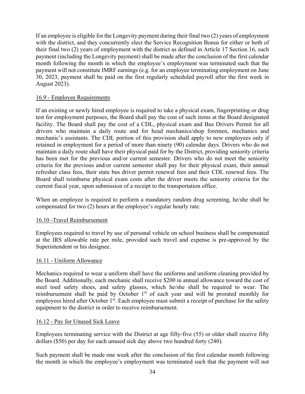If an employee is eligible for the Longevity payment during their final two (2) years of employment with the district, and they concurrently elect the Service Recognition Bonus for either or both of their final two (2) years of employment with the district as defined in Article 17 Section 16, such payment (including the Longevity payment) shall be made after the conclusion of the first calendar month following the month in which the employee's employment was terminated such that the payment will not constitute IMRF earnings (e.g. for an employee terminating employment on June 30, 2023, payment shall be paid on the first regularly scheduled payroll after the first week in August 2023).

## 16.9 - Employee Requirements

If an existing or newly hired employee is required to take a physical exam, fingerprinting or drug test for employment purposes, the Board shall pay the cost of such items at the Board designated facility. The Board shall pay the cost of a CDL, physical exam and Bus Drivers Permit for all drivers who maintain a daily route and for head mechanics/shop foremen, mechanics and mechanic's assistants. The CDL portion of this provision shall apply to new employees only if retained in employment for a period of more than ninety (90) calendar days. Drivers who do not maintain a daily route shall have their physical paid for by the District, providing seniority criteria has been met for the previous and/or current semester. Drivers who do not meet the seniority criteria for the previous and/or current semester shall pay for their physical exam, their annual refresher class fees, their state bus driver permit renewal fees and their CDL renewal fees. The Board shall reimburse physical exam costs after the driver meets the seniority criteria for the current fiscal year, upon submission of a receipt to the transportation office.

When an employee is required to perform a mandatory random drug screening, he/she shall be compensated for two (2) hours at the employee's regular hourly rate.

## 16.10 -Travel Reimbursement

Employees required to travel by use of personal vehicle on school business shall be compensated at the IRS allowable rate per mile, provided such travel and expense is pre-approved by the Superintendent or his designee.

## 16.11 - Uniform Allowance

Mechanics required to wear a uniform shall have the uniforms and uniform cleaning provided by the Board. Additionally, each mechanic shall receive \$200 in annual allowance toward the cost of steel toed safety shoes, and safety glasses, which he/she shall be required to wear. The reimbursement shall be paid by October 1<sup>st</sup> of each year and will be prorated monthly for employees hired after October 1<sup>st</sup>. Each employee must submit a receipt of purchase for the safety equipment to the district in order to receive reimbursement.

#### 16.12 - Pay for Unused Sick Leave

Employees terminating service with the District at age fifty-five (55) or older shall receive fifty dollars (\$50) per day for each unused sick day above two hundred forty (240).

Such payment shall be made one week after the conclusion of the first calendar month following the month in which the employee's employment was terminated such that the payment will not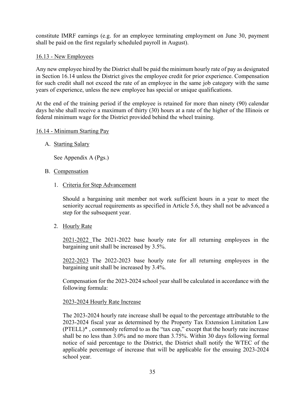constitute IMRF earnings (e.g. for an employee terminating employment on June 30, payment shall be paid on the first regularly scheduled payroll in August).

## 16.13 - New Employees

Any new employee hired by the District shall be paid the minimum hourly rate of pay as designated in Section 16.14 unless the District gives the employee credit for prior experience. Compensation for such credit shall not exceed the rate of an employee in the same job category with the same years of experience, unless the new employee has special or unique qualifications.

At the end of the training period if the employee is retained for more than ninety (90) calendar days he/she shall receive a maximum of thirty (30) hours at a rate of the higher of the Illinois or federal minimum wage for the District provided behind the wheel training.

#### 16.14 - Minimum Starting Pay

A. Starting Salary

See Appendix A (Pgs.)

- B. Compensation
	- 1. Criteria for Step Advancement

Should a bargaining unit member not work sufficient hours in a year to meet the seniority accrual requirements as specified in Article 5.6, they shall not be advanced a step for the subsequent year.

2. Hourly Rate

2021-2022 The 2021-2022 base hourly rate for all returning employees in the bargaining unit shall be increased by 3.5%.

2022-2023 The 2022-2023 base hourly rate for all returning employees in the bargaining unit shall be increased by 3.4%.

Compensation for the 2023-2024 school year shall be calculated in accordance with the following formula:

#### 2023-2024 Hourly Rate Increase

The 2023-2024 hourly rate increase shall be equal to the percentage attributable to the 2023-2024 fiscal year as determined by the Property Tax Extension Limitation Law (PTELL)\* , commonly referred to as the "tax cap," except that the hourly rate increase shall be no less than 3.0% and no more than 3.75%. Within 30 days following formal notice of said percentage to the District, the District shall notify the WTEC of the applicable percentage of increase that will be applicable for the ensuing 2023-2024 school year.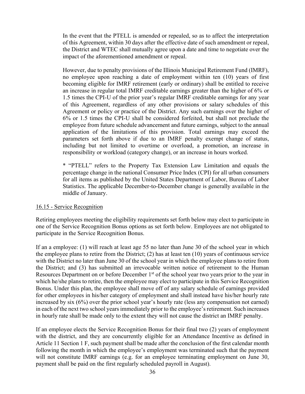In the event that the PTELL is amended or repealed, so as to affect the interpretation of this Agreement, within 30 days after the effective date of such amendment or repeal, the District and WTEC shall mutually agree upon a date and time to negotiate over the impact of the aforementioned amendment or repeal.

However, due to penalty provisions of the Illinois Municipal Retirement Fund (IMRF), no employee upon reaching a date of employment within ten (10) years of first becoming eligible for IMRF retirement (early or ordinary) shall be entitled to receive an increase in regular total IMRF creditable earnings greater than the higher of 6% or 1.5 times the CPI-U of the prior year's regular IMRF creditable earnings for any year of this Agreement, regardless of any other provisions or salary schedules of this Agreement or policy or practice of the District. Any such earnings over the higher of 6% or 1.5 times the CPI-U shall be considered forfeited, but shall not preclude the employee from future schedule advancement and future earnings, subject to the annual application of the limitations of this provision. Total earnings may exceed the parameters set forth above if due to an IMRF penalty exempt change of status, including but not limited to overtime or overload, a promotion, an increase in responsibility or workload (category change), or an increase in hours worked.

\* "PTELL" refers to the Property Tax Extension Law Limitation and equals the percentage change in the national Consumer Price Index (CPI) for all urban consumers for all items as published by the United States Department of Labor, Bureau of Labor Statistics. The applicable December-to-December change is generally available in the middle of January.

## 16.15 - Service Recognition

Retiring employees meeting the eligibility requirements set forth below may elect to participate in one of the Service Recognition Bonus options as set forth below. Employees are not obligated to participate in the Service Recognition Bonus.

If an a employee: (1) will reach at least age 55 no later than June 30 of the school year in which the employee plans to retire from the District; (2) has at least ten (10) years of continuous service with the District no later than June 30 of the school year in which the employee plans to retire from the District; and (3) has submitted an irrevocable written notice of retirement to the Human Resources Department on or before December 1<sup>st</sup> of the school year two years prior to the year in which he/she plans to retire, then the employee may elect to participate in this Service Recognition Bonus. Under this plan, the employee shall move off of any salary schedule of earnings provided for other employees in his/her category of employment and shall instead have his/her hourly rate increased by six (6%) over the prior school year's hourly rate (less any compensation not earned) in each of the next two school years immediately prior to the employee's retirement. Such increases in hourly rate shall be made only to the extent they will not cause the district an IMRF penalty.

If an employee elects the Service Recognition Bonus for their final two (2) years of employment with the district, and they are concurrently eligible for an Attendance Incentive as defined in Article 11 Section 1 F, such payment shall be made after the conclusion of the first calendar month following the month in which the employee's employment was terminated such that the payment will not constitute IMRF earnings (e.g. for an employee terminating employment on June 30, payment shall be paid on the first regularly scheduled payroll in August).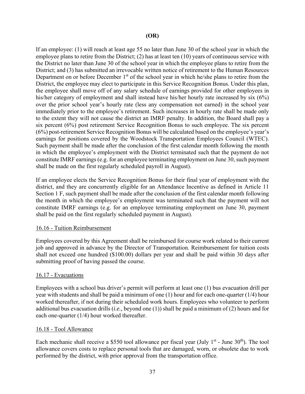If an employee: (1) will reach at least age 55 no later than June 30 of the school year in which the employee plans to retire from the District; (2) has at least ten (10) years of continuous service with the District no later than June 30 of the school year in which the employee plans to retire from the District; and (3) has submitted an irrevocable written notice of retirement to the Human Resources Department on or before December 1<sup>st</sup> of the school year in which he/she plans to retire from the District, the employee may elect to participate in this Service Recognition Bonus. Under this plan, the employee shall move off of any salary schedule of earnings provided for other employees in his/her category of employment and shall instead have his/her hourly rate increased by six (6%) over the prior school year's hourly rate (less any compensation not earned) in the school year immediately prior to the employee's retirement. Such increases in hourly rate shall be made only to the extent they will not cause the district an IMRF penalty. In addition, the Board shall pay a six percent (6%) post retirement Service Recognition Bonus to such employee. The six percent (6%) post-retirement Service Recognition Bonus will be calculated based on the employee's year's earnings for positions covered by the Woodstock Transportation Employees Council (WTEC). Such payment shall be made after the conclusion of the first calendar month following the month in which the employee's employment with the District terminated such that the payment do not constitute IMRF earnings (e.g. for an employee terminating employment on June 30, such payment shall be made on the first regularly scheduled payroll in August).

If an employee elects the Service Recognition Bonus for their final year of employment with the district, and they are concurrently eligible for an Attendance Incentive as defined in Article 11 Section 1 F, such payment shall be made after the conclusion of the first calendar month following the month in which the employee's employment was terminated such that the payment will not constitute IMRF earnings (e.g. for an employee terminating employment on June 30, payment shall be paid on the first regularly scheduled payment in August).

## 16.16 - Tuition Reimbursement

Employees covered by this Agreement shall be reimbursed for course work related to their current job and approved in advance by the Director of Transportation. Reimbursement for tuition costs shall not exceed one hundred (\$100.00) dollars per year and shall be paid within 30 days after submitting proof of having passed the course.

## 16.17 - Evacuations

Employees with a school bus driver's permit will perform at least one (1) bus evacuation drill per year with students and shall be paid a minimum of one (1) hour and for each one-quarter (1/4) hour worked thereafter, if not during their scheduled work hours. Employees who volunteer to perform additional bus evacuation drills (*i.e.,* beyond one (1)) shall be paid a minimum of (2) hours and for each one-quarter (1/4) hour worked thereafter.

#### 16.18 - Tool Allowance

Each mechanic shall receive a \$550 tool allowance per fiscal year (July  $1<sup>st</sup>$  - June 30<sup>th</sup>). The tool allowance covers costs to replace personal tools that are damaged, worn, or obsolete due to work performed by the district, with prior approval from the transportation office.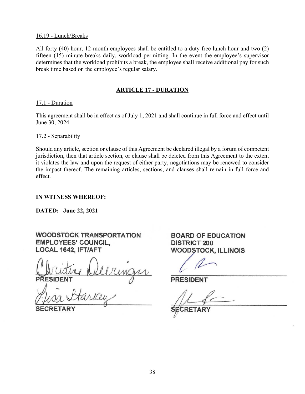#### 16.19 - Lunch/Breaks

All forty (40) hour, 12-month employees shall be entitled to a duty free lunch hour and two (2) fifteen (15) minute breaks daily, workload permitting. In the event the employee's supervisor determines that the workload prohibits a break, the employee shall receive additional pay for such break time based on the employee's regular salary.

### **ARTICLE 17 - DURATION**

#### 17.1 - Duration

This agreement shall be in effect as of July 1, 2021 and shall continue in full force and effect until June 30, 2024.

#### 17.2 - Separability

Should any article, section or clause of this Agreement be declared illegal by a forum of competent jurisdiction, then that article section, or clause shall be deleted from this Agreement to the extent it violates the law and upon the request of either party, negotiations may be renewed to consider the impact thereof. The remaining articles, sections, and clauses shall remain in full force and effect.

#### **IN WITNESS WHEREOF:**

**DATED: June 22, 2021** 

# **WOODSTOCK TRANSPORTATION EMPLOYEES' COUNCIL.** LOCAL 1642, IFT/AFT

**BOARD OF EDUCATION DISTRICT 200 WOODSTOCK, ILLINOIS** 

**PRESIDENT** 

RETARY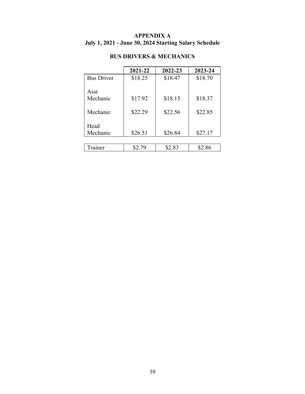# **APPENDIX A July 1, 2021 - June 30, 2024 Starting Salary Schedule**

|                   | 2021-22 | 2022-23 | 2023-24 |
|-------------------|---------|---------|---------|
| <b>Bus Driver</b> | \$18.25 | \$18.47 | \$18.70 |
|                   |         |         |         |
| Asst              |         |         |         |
| Mechanic          | \$17.92 | \$18.15 | \$18.37 |
|                   |         |         |         |
| Mechanic          | \$22.29 | \$22.56 | \$22.85 |
|                   |         |         |         |
| Head              |         |         |         |
| Mechanic          | \$26.51 | \$26.84 | \$27.17 |
|                   |         |         |         |
| `rainer           | \$2.79  | \$2.83  | \$2.86  |

# **BUS DRIVERS & MECHANICS**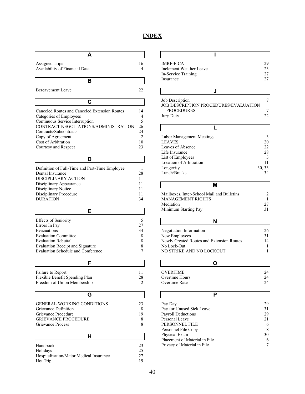# **INDEX**

| А                                              |          |
|------------------------------------------------|----------|
| <b>Assigned Trips</b>                          | 16       |
| Availability of Financial Data                 | 4        |
|                                                |          |
| в                                              |          |
| <b>Bereavement Leave</b>                       | 22       |
|                                                |          |
| C                                              |          |
| Canceled Routes and Canceled Extension Routes  | 14       |
| Categories of Employees                        | 4        |
| Continuous Service Interruption                | 5        |
| CONTRACT NEGOTIATIONS/ADMINISTRATION           | 26       |
| Contracts/Subcontracts                         | 24       |
| Copy of Agreement                              | 2        |
| Cost of Arbitration<br>Courtesy and Respect    | 10<br>23 |
|                                                |          |
| D                                              |          |
| Definition of Full-Time and Part-Time Employee | 1        |
| Dental Insurance                               | 28       |
| DISCIPLINARY ACTION                            | 11       |
| Disciplinary Appearance                        | 11       |
| Disciplinary Notice                            | 11       |
| Disciplinary Procedure                         | 11       |
| <b>DURATION</b>                                | 34       |
| Е                                              |          |
|                                                |          |
| <b>Effects of Seniority</b><br>Errors In Pay   | 5<br>27  |
| Evacuations                                    | 34       |
| <b>Evaluation Committee</b>                    | 8        |
| <b>Evaluation Rebuttal</b>                     | 8        |
| <b>Evaluation Receipt and Signature</b>        | 8        |
| <b>Evaluation Schedule and Conference</b>      | 7        |
| F                                              |          |
|                                                |          |
| Failure to Report                              | 11       |
| Flexible Benefit Spending Plan                 | 28       |
| Freedom of Union Membership                    | 2        |
| G                                              |          |
| <b>GENERAL WORKING CONDITIONS</b>              | 23       |
| Grievance Definition                           | 8        |
| Grievance Procedure                            | 19       |
| <b>GRIEVANCE PROCEDURE</b>                     | 8        |
| Grievance Process                              | 8        |
|                                                |          |
| н                                              |          |
| Handbook                                       | 23       |
| Holidays                                       | 25       |
| Hospitalization/Major Medical Insurance        | 27       |
| Hot Trip                                       | 19       |

| ı                                                        |              |
|----------------------------------------------------------|--------------|
| <b>IMRF-FICA</b>                                         | 29           |
| Inclement Weather Leave                                  | 23           |
| In-Service Training                                      | 27           |
| Insurance                                                | 27           |
|                                                          |              |
| J                                                        |              |
| Job Description                                          | 7            |
| JOB DESCRIPTION PROCEDURES/EVALUATION                    |              |
| <b>PROCEDURES</b>                                        | 7            |
| Jury Duty                                                | 22           |
|                                                          |              |
| L                                                        |              |
| Labor Management Meetings                                | 3            |
| <b>LEAVES</b>                                            | 20           |
| Leaves of Absence                                        | 22           |
| Life Insurance                                           | 28           |
| List of Employees                                        | 3            |
| Location of Arbitration<br>Longevity                     | 11<br>30, 33 |
| Lunch/Breaks                                             | 34           |
|                                                          |              |
| М                                                        |              |
| Mailboxes, Inter-School Mail and Bulletins               | 2            |
| <b>MANAGEMENT RIGHTS</b>                                 | 1            |
| Mediation                                                | 27           |
| Minimum Starting Pay                                     | 31           |
| N                                                        |              |
|                                                          |              |
| Negotiation Information                                  | 26           |
| New Employees                                            | 31           |
| Newly Created Routes and Extension Routes<br>No Lock-Out | 14           |
| NO STRIKE AND NO LOCKOUT                                 | 1<br>1       |
|                                                          |              |
| O                                                        |              |
| OVERTIME                                                 | 24           |
| Overtime Hours                                           | 24           |
| Overtime Rate                                            | 24           |
|                                                          |              |
| Р                                                        |              |
| Pay Day                                                  | 29           |
| Pay for Unused Sick Leave                                | 31           |
| Payroll Deductions                                       | 29           |
| Personal Leave                                           | 21           |
| PERSONNEL FILE                                           | 6            |
| Personnel File Copy                                      | 8            |
| Physical Exam                                            | 30           |

Placement of Material in File 6 Privacy of Material in File 7